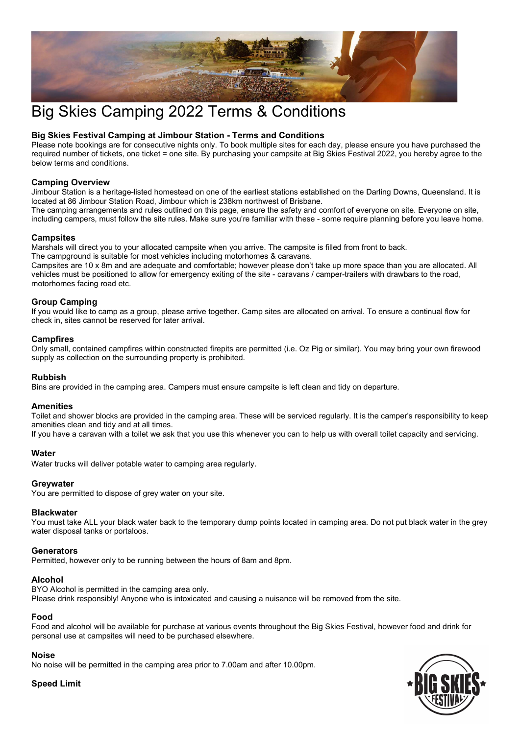

# Big Skies Camping 2022 Terms & Conditions

# Big Skies Festival Camping at Jimbour Station - Terms and Conditions

Please note bookings are for consecutive nights only. To book multiple sites for each day, please ensure you have purchased the required number of tickets, one ticket = one site. By purchasing your campsite at Big Skies Festival 2022, you hereby agree to the below terms and conditions.

## Camping Overview

Jimbour Station is a heritage-listed homestead on one of the earliest stations established on the Darling Downs, Queensland. It is located at 86 Jimbour Station Road, Jimbour which is 238km northwest of Brisbane.

The camping arrangements and rules outlined on this page, ensure the safety and comfort of everyone on site. Everyone on site, including campers, must follow the site rules. Make sure you're familiar with these - some require planning before you leave home.

## **Campsites**

Marshals will direct you to your allocated campsite when you arrive. The campsite is filled from front to back.

The campground is suitable for most vehicles including motorhomes & caravans.

Campsites are 10 x 8m and are adequate and comfortable; however please don't take up more space than you are allocated. All vehicles must be positioned to allow for emergency exiting of the site - caravans / camper-trailers with drawbars to the road, motorhomes facing road etc.

## Group Camping

If you would like to camp as a group, please arrive together. Camp sites are allocated on arrival. To ensure a continual flow for check in, sites cannot be reserved for later arrival.

#### Campfires

Only small, contained campfires within constructed firepits are permitted (i.e. Oz Pig or similar). You may bring your own firewood supply as collection on the surrounding property is prohibited.

## Rubbish

Bins are provided in the camping area. Campers must ensure campsite is left clean and tidy on departure.

#### Amenities

Toilet and shower blocks are provided in the camping area. These will be serviced regularly. It is the camper's responsibility to keep amenities clean and tidy and at all times.

If you have a caravan with a toilet we ask that you use this whenever you can to help us with overall toilet capacity and servicing.

#### **Water**

Water trucks will deliver potable water to camping area regularly.

## Greywater

You are permitted to dispose of grey water on your site.

#### **Blackwater**

You must take ALL your black water back to the temporary dump points located in camping area. Do not put black water in the grey water disposal tanks or portaloos.

#### **Generators**

Permitted, however only to be running between the hours of 8am and 8pm.

#### Alcohol

BYO Alcohol is permitted in the camping area only. Please drink responsibly! Anyone who is intoxicated and causing a nuisance will be removed from the site.

#### Food

Food and alcohol will be available for purchase at various events throughout the Big Skies Festival, however food and drink for personal use at campsites will need to be purchased elsewhere.

#### Noise

No noise will be permitted in the camping area prior to 7.00am and after 10.00pm.



## Speed Limit